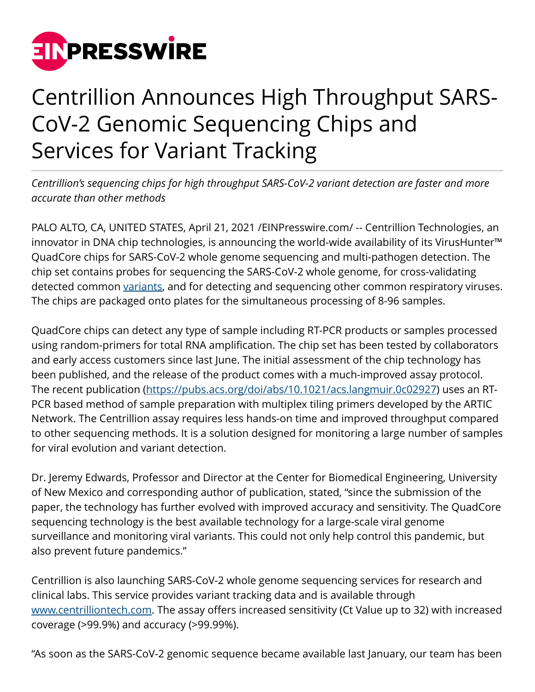

## Centrillion Announces High Throughput SARS-CoV-2 Genomic Sequencing Chips and Services for Variant Tracking

*Centrillion's sequencing chips for high throughput SARS-CoV-2 variant detection are faster and more accurate than other methods*

PALO ALTO, CA, UNITED STATES, April 21, 2021 /[EINPresswire.com/](http://www.einpresswire.com) -- Centrillion Technologies, an innovator in DNA chip technologies, is announcing the world-wide availability of its VirusHunter™ QuadCore chips for SARS-CoV-2 whole genome sequencing and multi-pathogen detection. The chip set contains probes for sequencing the SARS-CoV-2 whole genome, for cross-validating detected common [variants,](https://www.centrilliontech.com/?page_id=39982) and for detecting and sequencing other common respiratory viruses. The chips are packaged onto plates for the simultaneous processing of 8-96 samples.

QuadCore chips can detect any type of sample including RT-PCR products or samples processed using random-primers for total RNA amplification. The chip set has been tested by collaborators and early access customers since last June. The initial assessment of the chip technology has been published, and the release of the product comes with a much-improved assay protocol. The recent publication [\(https://pubs.acs.org/doi/abs/10.1021/acs.langmuir.0c02927\)](https://pubs.acs.org/doi/abs/10.1021/acs.langmuir.0c02927) uses an RT-PCR based method of sample preparation with multiplex tiling primers developed by the ARTIC Network. The Centrillion assay requires less hands-on time and improved throughput compared to other sequencing methods. It is a solution designed for monitoring a large number of samples for viral evolution and variant detection.

Dr. Jeremy Edwards, Professor and Director at the Center for Biomedical Engineering, University of New Mexico and corresponding author of publication, stated, "since the submission of the paper, the technology has further evolved with improved accuracy and sensitivity. The QuadCore sequencing technology is the best available technology for a large-scale viral genome surveillance and monitoring viral variants. This could not only help control this pandemic, but also prevent future pandemics."

Centrillion is also launching SARS-CoV-2 whole genome sequencing services for research and clinical labs. This service provides variant tracking data and is available through [www.centrilliontech.com.](http://www.centrilliontech.com) The assay offers increased sensitivity (Ct Value up to 32) with increased coverage (>99.9%) and accuracy (>99.99%).

"As soon as the SARS-CoV-2 genomic sequence became available last January, our team has been